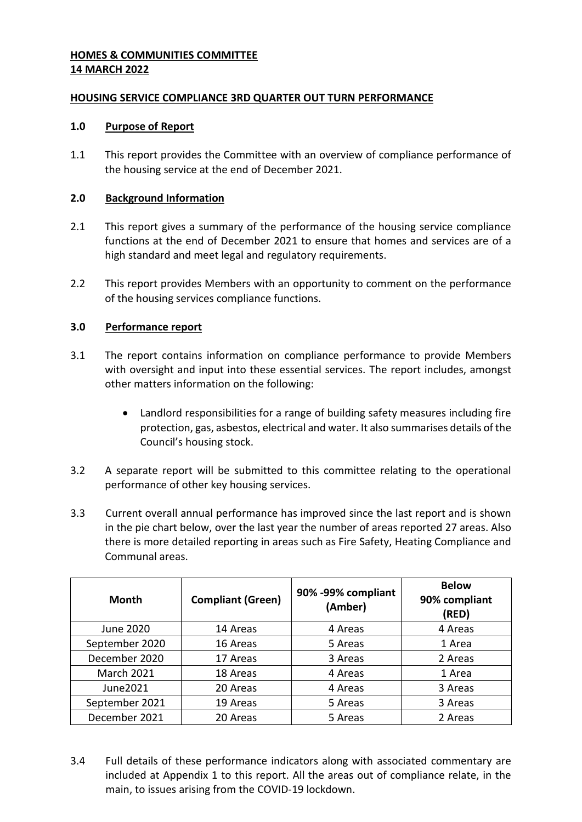# **HOMES & COMMUNITIES COMMITTEE 14 MARCH 2022**

## **HOUSING SERVICE COMPLIANCE 3RD QUARTER OUT TURN PERFORMANCE**

## **1.0 Purpose of Report**

1.1 This report provides the Committee with an overview of compliance performance of the housing service at the end of December 2021.

## **2.0 Background Information**

- 2.1 This report gives a summary of the performance of the housing service compliance functions at the end of December 2021 to ensure that homes and services are of a high standard and meet legal and regulatory requirements.
- 2.2 This report provides Members with an opportunity to comment on the performance of the housing services compliance functions.

## **3.0 Performance report**

- 3.1 The report contains information on compliance performance to provide Members with oversight and input into these essential services. The report includes, amongst other matters information on the following:
	- Landlord responsibilities for a range of building safety measures including fire protection, gas, asbestos, electrical and water. It also summarises details of the Council's housing stock.
- 3.2 A separate report will be submitted to this committee relating to the operational performance of other key housing services.
- 3.3 Current overall annual performance has improved since the last report and is shown in the pie chart below, over the last year the number of areas reported 27 areas. Also there is more detailed reporting in areas such as Fire Safety, Heating Compliance and Communal areas.

| Month             | <b>Compliant (Green)</b> | 90% -99% compliant<br>(Amber) | <b>Below</b><br>90% compliant<br>(RED) |
|-------------------|--------------------------|-------------------------------|----------------------------------------|
| June 2020         | 14 Areas                 | 4 Areas                       | 4 Areas                                |
| September 2020    | 16 Areas                 | 5 Areas                       | 1 Area                                 |
| December 2020     | 17 Areas                 | 3 Areas                       | 2 Areas                                |
| <b>March 2021</b> | 18 Areas                 | 4 Areas                       | 1 Area                                 |
| June2021          | 20 Areas                 | 4 Areas                       | 3 Areas                                |
| September 2021    | 19 Areas                 | 5 Areas                       | 3 Areas                                |
| December 2021     | 20 Areas                 | 5 Areas                       | 2 Areas                                |

3.4 Full details of these performance indicators along with associated commentary are included at Appendix 1 to this report. All the areas out of compliance relate, in the main, to issues arising from the COVID-19 lockdown.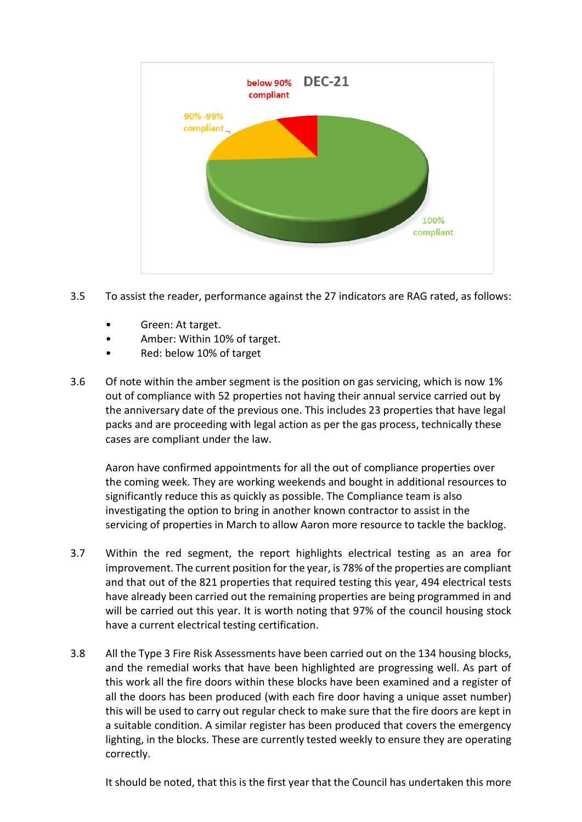

- 3.5 To assist the reader, performance against the 27 indicators are RAG rated, as follows:
	- Green: At target.
	- Amber: Within 10% of target.
	- Red: below 10% of target
- 3.6 Of note within the amber segment is the position on gas servicing, which is now 1% out of compliance with 52 properties not having their annual service carried out by the anniversary date of the previous one. This includes 23 properties that have legal packs and are proceeding with legal action as per the gas process, technically these cases are compliant under the law.

Aaron have confirmed appointments for all the out of compliance properties over the coming week. They are working weekends and bought in additional resources to significantly reduce this as quickly as possible. The Compliance team is also investigating the option to bring in another known contractor to assist in the servicing of properties in March to allow Aaron more resource to tackle the backlog.

- 3.7 Within the red segment, the report highlights electrical testing as an area for improvement. The current position for the year, is 78% of the properties are compliant and that out of the 821 properties that required testing this year, 494 electrical tests have already been carried out the remaining properties are being programmed in and will be carried out this year. It is worth noting that 97% of the council housing stock have a current electrical testing certification.
- 3.8 All the Type 3 Fire Risk Assessments have been carried out on the 134 housing blocks, and the remedial works that have been highlighted are progressing well. As part of this work all the fire doors within these blocks have been examined and a register of all the doors has been produced (with each fire door having a unique asset number) this will be used to carry out regular check to make sure that the fire doors are kept in a suitable condition. A similar register has been produced that covers the emergency lighting, in the blocks. These are currently tested weekly to ensure they are operating correctly.

It should be noted, that this is the first year that the Council has undertaken this more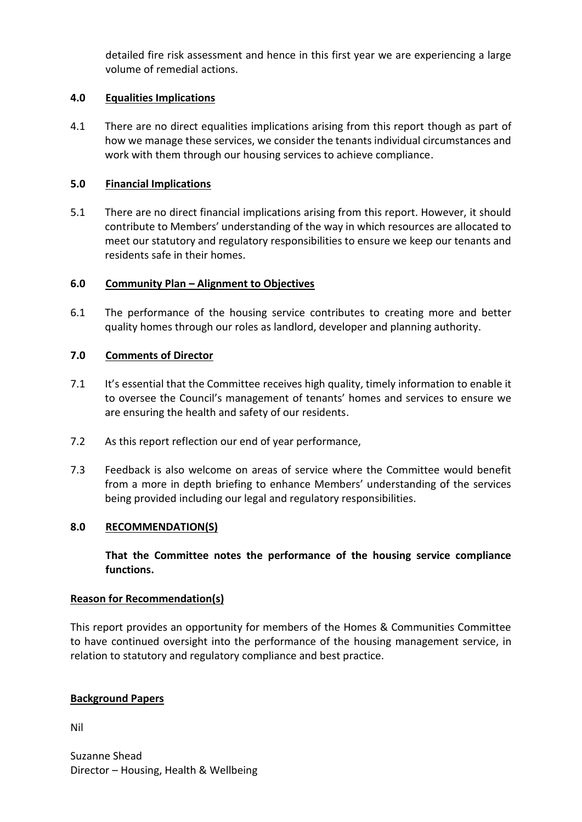detailed fire risk assessment and hence in this first year we are experiencing a large volume of remedial actions.

# **4.0 Equalities Implications**

4.1 There are no direct equalities implications arising from this report though as part of how we manage these services, we consider the tenants individual circumstances and work with them through our housing services to achieve compliance.

# **5.0 Financial Implications**

5.1 There are no direct financial implications arising from this report. However, it should contribute to Members' understanding of the way in which resources are allocated to meet our statutory and regulatory responsibilities to ensure we keep our tenants and residents safe in their homes.

## **6.0 Community Plan – Alignment to Objectives**

6.1 The performance of the housing service contributes to creating more and better quality homes through our roles as landlord, developer and planning authority.

## **7.0 Comments of Director**

- 7.1 It's essential that the Committee receives high quality, timely information to enable it to oversee the Council's management of tenants' homes and services to ensure we are ensuring the health and safety of our residents.
- 7.2 As this report reflection our end of year performance,
- 7.3 Feedback is also welcome on areas of service where the Committee would benefit from a more in depth briefing to enhance Members' understanding of the services being provided including our legal and regulatory responsibilities.

## **8.0 RECOMMENDATION(S)**

**That the Committee notes the performance of the housing service compliance functions.**

## **Reason for Recommendation(s)**

This report provides an opportunity for members of the Homes & Communities Committee to have continued oversight into the performance of the housing management service, in relation to statutory and regulatory compliance and best practice.

## **Background Papers**

Nil

Suzanne Shead Director – Housing, Health & Wellbeing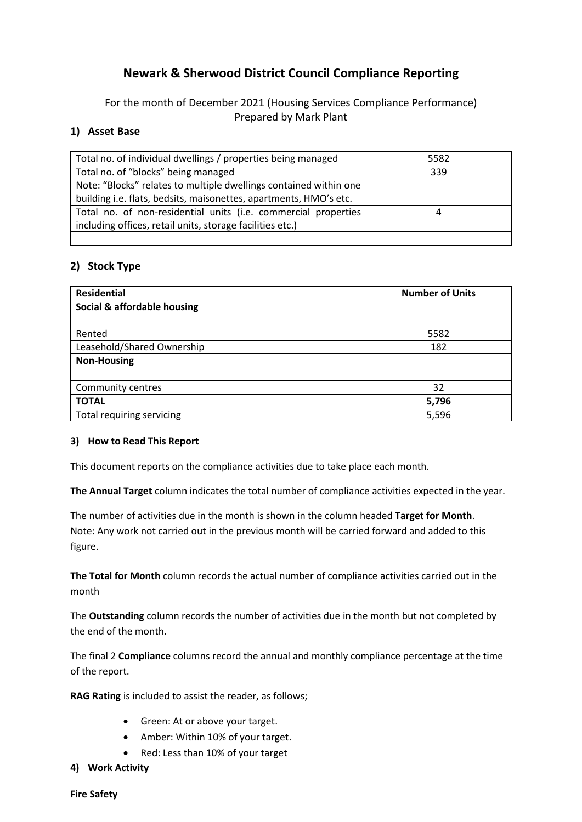# **Newark & Sherwood District Council Compliance Reporting**

For the month of December 2021 (Housing Services Compliance Performance) Prepared by Mark Plant

## **1) Asset Base**

| Total no. of individual dwellings / properties being managed      | 5582 |
|-------------------------------------------------------------------|------|
| Total no. of "blocks" being managed                               | 339  |
| Note: "Blocks" relates to multiple dwellings contained within one |      |
| building i.e. flats, bedsits, maisonettes, apartments, HMO's etc. |      |
| Total no. of non-residential units (i.e. commercial properties    | 4    |
| including offices, retail units, storage facilities etc.)         |      |
|                                                                   |      |

## **2) Stock Type**

| <b>Residential</b>          | <b>Number of Units</b> |
|-----------------------------|------------------------|
| Social & affordable housing |                        |
|                             |                        |
| Rented                      | 5582                   |
| Leasehold/Shared Ownership  | 182                    |
| <b>Non-Housing</b>          |                        |
|                             |                        |
| Community centres           | 32                     |
| <b>TOTAL</b>                | 5,796                  |
| Total requiring servicing   | 5,596                  |

## **3) How to Read This Report**

This document reports on the compliance activities due to take place each month.

**The Annual Target** column indicates the total number of compliance activities expected in the year.

The number of activities due in the month is shown in the column headed **Target for Month**. Note: Any work not carried out in the previous month will be carried forward and added to this figure.

**The Total for Month** column records the actual number of compliance activities carried out in the month

The **Outstanding** column records the number of activities due in the month but not completed by the end of the month.

The final 2 **Compliance** columns record the annual and monthly compliance percentage at the time of the report.

**RAG Rating** is included to assist the reader, as follows;

- Green: At or above your target.
- Amber: Within 10% of your target.
- Red: Less than 10% of your target
- **4) Work Activity**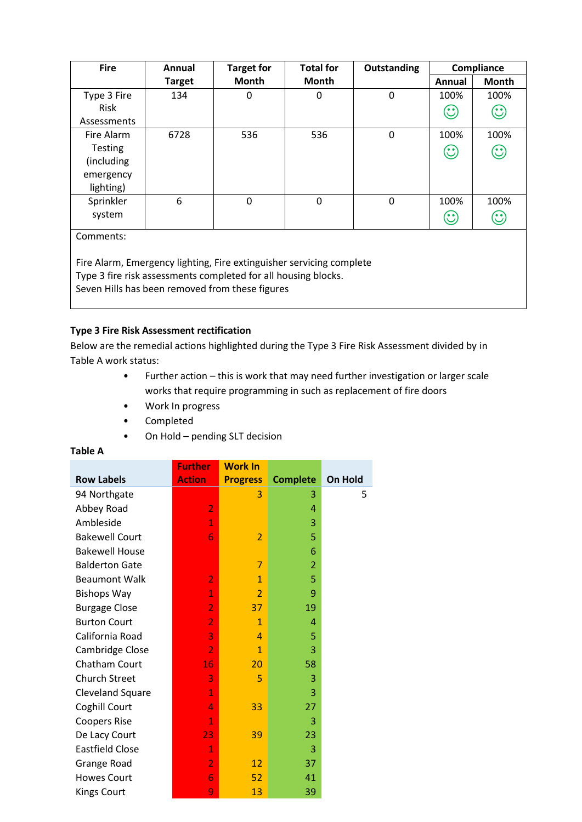| <b>Fire</b>                                                                                                       | Annual        | <b>Target for</b> | <b>Total for</b> | Outstanding |                      | Compliance                 |
|-------------------------------------------------------------------------------------------------------------------|---------------|-------------------|------------------|-------------|----------------------|----------------------------|
|                                                                                                                   | <b>Target</b> | <b>Month</b>      | Month            |             | Annual               | Month                      |
| Type 3 Fire<br><b>Risk</b>                                                                                        | 134           | 0                 | 0                | 0           | 100%<br>$\mathbb{C}$ | 100%<br>$\odot$            |
| Assessments                                                                                                       |               |                   |                  |             |                      |                            |
| Fire Alarm<br><b>Testing</b><br>(including)<br>emergency                                                          | 6728          | 536               | 536              | 0           | 100%<br>$\odot$      | 100%<br>$\odot$            |
| lighting)                                                                                                         |               |                   |                  |             |                      |                            |
| Sprinkler<br>system                                                                                               | 6             | 0                 | $\mathbf 0$      | 0           | 100%<br>$\odot$      | 100%<br>$\mathbf{\hat{c}}$ |
| Comments:<br>Fire Alarm, Emergency lighting, Fire extinguisher servicing complete                                 |               |                   |                  |             |                      |                            |
| Type 3 fire risk assessments completed for all housing blocks.<br>Seven Hills has been removed from these figures |               |                   |                  |             |                      |                            |

## **Type 3 Fire Risk Assessment rectification**

Below are the remedial actions highlighted during the Type 3 Fire Risk Assessment divided by in Table A work status:

- Further action this is work that may need further investigation or larger scale works that require programming in such as replacement of fire doors
- Work In progress
- Completed
- On Hold pending SLT decision

#### **Table A**

|                        | <b>Further</b> | <b>Work In</b>  |                 |         |
|------------------------|----------------|-----------------|-----------------|---------|
| <b>Row Labels</b>      | <b>Action</b>  | <b>Progress</b> | <b>Complete</b> | On Hold |
| 94 Northgate           |                | 3               | 3               | 5       |
| Abbey Road             | $\overline{2}$ |                 | 4               |         |
| Ambleside              | $\mathbf{1}$   |                 | 3               |         |
| <b>Bakewell Court</b>  | 6              | $\overline{2}$  | 5               |         |
| <b>Bakewell House</b>  |                |                 | 6               |         |
| <b>Balderton Gate</b>  |                | 7               | $\overline{2}$  |         |
| <b>Beaumont Walk</b>   | $\overline{2}$ | $\mathbf{1}$    | 5               |         |
| <b>Bishops Way</b>     | $\mathbf{1}$   | $\overline{2}$  | 9               |         |
| <b>Burgage Close</b>   | $\overline{2}$ | 37              | 19              |         |
| <b>Burton Court</b>    | $\overline{2}$ | $\mathbf{1}$    | 4               |         |
| California Road        | 3              | $\overline{a}$  | 5               |         |
| Cambridge Close        | $\overline{2}$ | $\mathbf{1}$    | 3               |         |
| Chatham Court          | 16             | 20              | 58              |         |
| <b>Church Street</b>   | 3              | 5               | 3               |         |
| Cleveland Square       | $\mathbf{1}$   |                 | 3               |         |
| Coghill Court          | 4              | 33              | 27              |         |
| <b>Coopers Rise</b>    | $\mathbf{1}$   |                 | 3               |         |
| De Lacy Court          | 23             | 39              | 23              |         |
| <b>Eastfield Close</b> | $\mathbf{1}$   |                 | 3               |         |
| Grange Road            | $\overline{2}$ | 12              | 37              |         |
| <b>Howes Court</b>     | 6              | 52              | 41              |         |
| <b>Kings Court</b>     | 9              | 13              | 39              |         |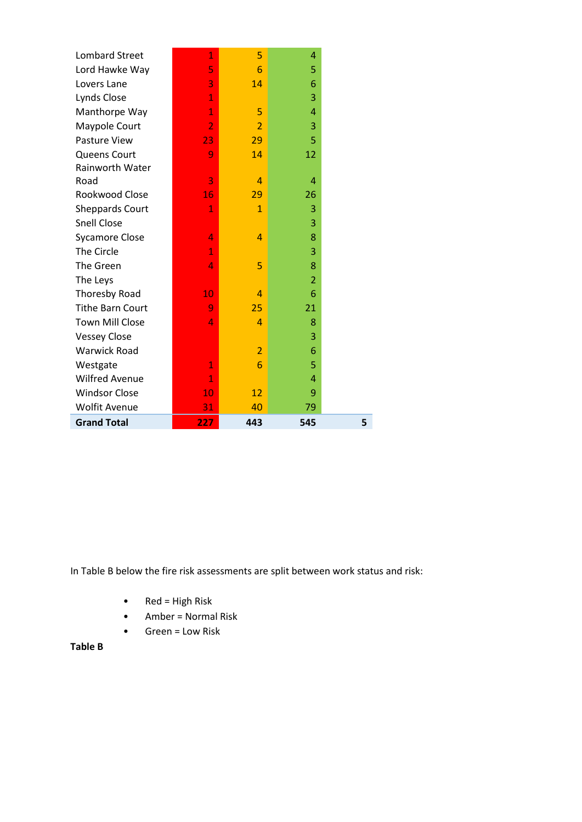| <b>Grand Total</b>      | 227            | 443            | 545            |  |
|-------------------------|----------------|----------------|----------------|--|
| <b>Wolfit Avenue</b>    | 31             | 40             | 79             |  |
| <b>Windsor Close</b>    | 10             | 12             | 9              |  |
| <b>Wilfred Avenue</b>   | $\mathbf{1}$   |                | $\overline{A}$ |  |
| Westgate                | $\mathbf{1}$   | 6              | 5              |  |
| <b>Warwick Road</b>     |                | $\overline{2}$ | 6              |  |
| <b>Vessey Close</b>     |                |                | 3              |  |
| <b>Town Mill Close</b>  | 4              | 4              | 8              |  |
| <b>Tithe Barn Court</b> | 9              | 25             | 21             |  |
| Thoresby Road           | 10             | 4              | 6              |  |
| The Leys                |                |                | $\overline{2}$ |  |
| The Green               | 4              | 5              | 8              |  |
| The Circle              | $\mathbf{1}$   |                | 3              |  |
| <b>Sycamore Close</b>   | 4              | 4              | 8              |  |
| <b>Snell Close</b>      |                |                | 3              |  |
| <b>Sheppards Court</b>  | $\mathbf{1}$   | $\mathbf{1}$   | 3              |  |
| Rookwood Close          | 16             | 29             | 26             |  |
| Road                    | 3              | $\overline{4}$ | 4              |  |
| Rainworth Water         |                |                |                |  |
| Queens Court            | 9              | 14             | 12             |  |
| Pasture View            | 23             | 29             | 5              |  |
| Maypole Court           | $\overline{2}$ | $\overline{2}$ | 3              |  |
| Manthorpe Way           | $\overline{1}$ | 5              | $\overline{A}$ |  |
| Lynds Close             | $\overline{1}$ |                | 3              |  |
| Lovers Lane             | 3              | 14             | 6              |  |
| Lord Hawke Way          | 5              | 6              | 5              |  |
| <b>Lombard Street</b>   | $\mathbf{1}$   | 5              | 4              |  |

In Table B below the fire risk assessments are split between work status and risk:

- Red = High Risk
- Amber = Normal Risk
- Green = Low Risk

## **Table B**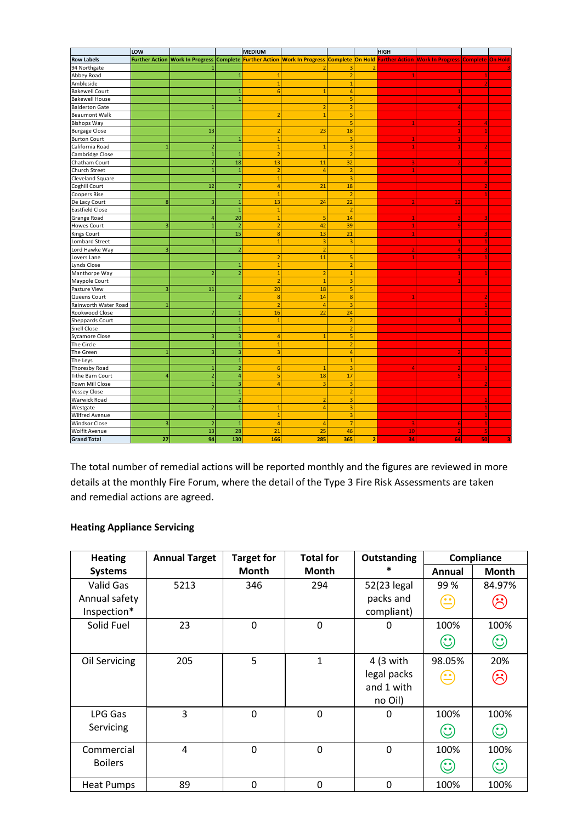|                         | LOW            |                         |                         | MEDIUM           |                         |                         |                | <b>HIGH</b> |                                                                                                                                            |    |   |
|-------------------------|----------------|-------------------------|-------------------------|------------------|-------------------------|-------------------------|----------------|-------------|--------------------------------------------------------------------------------------------------------------------------------------------|----|---|
| <b>Row Labels</b>       |                |                         |                         |                  |                         |                         |                |             | Further Action Work In Progress Complete Further Action Work In Progress Complete On Hold Further Action Work In Progress Complete On Hold |    |   |
| 94 Northgate            |                |                         |                         |                  |                         | 3                       | 2              |             |                                                                                                                                            |    |   |
| Abbey Road              |                |                         | $\mathbf{1}$            | $\mathbf{1}$     |                         | $\overline{2}$          |                |             |                                                                                                                                            |    |   |
| Ambleside               |                |                         |                         | $\mathbf{1}$     |                         | $\mathbf{1}$            |                |             |                                                                                                                                            |    |   |
| <b>Bakewell Court</b>   |                |                         | $\mathbf{1}$            | $6\phantom{1}6$  | $\mathbf{1}$            | $\overline{4}$          |                |             |                                                                                                                                            |    |   |
| <b>Bakewell House</b>   |                |                         | $\overline{1}$          |                  |                         | 5                       |                |             |                                                                                                                                            |    |   |
| <b>Balderton Gate</b>   |                | $\mathbf{1}$            |                         |                  | $\overline{2}$          | $\overline{2}$          |                |             |                                                                                                                                            |    |   |
| <b>Beaumont Walk</b>    |                |                         |                         | $\overline{2}$   | $\mathbf{1}$            | 5                       |                |             |                                                                                                                                            |    |   |
| <b>Bishops Way</b>      |                |                         |                         |                  |                         | 5                       |                |             |                                                                                                                                            |    |   |
| <b>Burgage Close</b>    |                | 13                      |                         |                  | 23                      | 18                      |                |             |                                                                                                                                            |    |   |
| <b>Burton Court</b>     |                |                         | $\mathbf{1}$            |                  |                         | 3                       |                |             |                                                                                                                                            |    |   |
| California Road         | $\overline{1}$ | $\overline{2}$          |                         |                  | 1                       | 3                       |                | 1           |                                                                                                                                            |    |   |
| Cambridge Close         |                | $\overline{1}$          | $\overline{1}$          | $\overline{z}$   |                         | $\overline{a}$          |                |             |                                                                                                                                            |    |   |
| Chatham Court           |                | $\overline{7}$          | 18                      | 13               | 11                      | 32                      |                |             |                                                                                                                                            |    |   |
| Church Street           |                | $\overline{1}$          | $\mathbf{1}$            | $\overline{2}$   | $\overline{4}$          | $\overline{2}$          |                |             |                                                                                                                                            |    |   |
| Cleveland Square        |                |                         |                         | 1                |                         | $\overline{3}$          |                |             |                                                                                                                                            |    |   |
| Coghill Court           |                | 12                      | $\overline{7}$          | $\overline{a}$   | 21                      | 18                      |                |             |                                                                                                                                            |    |   |
| <b>Coopers Rise</b>     |                |                         |                         | 1                |                         | $\overline{2}$          |                |             |                                                                                                                                            |    |   |
| De Lacy Court           | 8              | $\overline{\mathbf{3}}$ | $\mathbf{1}$            | 13               | 24                      | 22                      |                |             | <b>12</b>                                                                                                                                  |    |   |
| <b>Eastfield Close</b>  |                |                         | $\overline{1}$          | $\mathbf{1}$     |                         | $\overline{2}$          |                |             |                                                                                                                                            |    |   |
| Grange Road             |                | $\overline{4}$          | 20                      | $\mathbf{1}$     | 5                       | 14                      |                |             |                                                                                                                                            |    |   |
| <b>Howes Court</b>      | $\overline{3}$ | $\overline{1}$          | $\overline{2}$          | $\overline{2}$   | 42                      | 39                      |                |             |                                                                                                                                            |    |   |
| Kings Court             |                |                         | 15                      | 8                | 13                      | 21                      |                |             |                                                                                                                                            |    |   |
| Lombard Street          |                | $\overline{1}$          |                         | $\overline{1}$   | $\overline{\mathbf{3}}$ | $\overline{3}$          |                |             |                                                                                                                                            |    |   |
| Lord Hawke Way          | 3              |                         | $\overline{2}$          |                  | $\overline{2}$          |                         |                |             | Δ                                                                                                                                          |    |   |
| Lovers Lane             |                |                         |                         | $\overline{2}$   | 11                      | 5                       |                |             |                                                                                                                                            |    |   |
| Lynds Close             |                |                         | $\mathbf{1}$            | $\overline{1}$   |                         | $\overline{2}$          |                |             |                                                                                                                                            |    |   |
| Manthorpe Way           |                | $\overline{2}$          | $\overline{2}$          | $\mathbf{1}$     | $\overline{2}$          | $\mathbf{1}$            |                |             |                                                                                                                                            |    |   |
| Maypole Court           |                |                         |                         | $\overline{2}$   | $\mathbf{1}$            | 3                       |                |             |                                                                                                                                            |    |   |
| Pasture View            | $\overline{3}$ | 11                      |                         | 20               | 18                      | 5                       |                |             |                                                                                                                                            |    |   |
| Queens Court            |                |                         | $\overline{2}$          | $\boldsymbol{8}$ | 14                      | 8                       |                |             |                                                                                                                                            |    |   |
| Rainworth Water Road    | $\mathbf{1}$   |                         |                         | $\overline{2}$   | $\overline{4}$          | $\overline{\mathbf{3}}$ |                |             |                                                                                                                                            |    |   |
| Rookwood Close          |                | $\overline{7}$          | $\mathbf{1}$            | 16               | 22                      | 24                      |                |             |                                                                                                                                            |    |   |
| Sheppards Court         |                |                         | $\overline{1}$          | $\mathbf{1}$     |                         | $\overline{2}$          |                |             |                                                                                                                                            |    |   |
| <b>Snell Close</b>      |                |                         | $\mathbf{1}$            |                  |                         | $\overline{2}$          |                |             |                                                                                                                                            |    |   |
| <b>Sycamore Close</b>   |                | $\overline{\mathbf{3}}$ | $\overline{\mathbf{3}}$ | $\overline{a}$   | $\overline{1}$          | $\overline{5}$          |                |             |                                                                                                                                            |    |   |
| The Circle              |                |                         | $\mathbf{1}$            | 1                |                         | $\overline{2}$          |                |             |                                                                                                                                            |    |   |
| The Green               | $\mathbf{1}$   | $\overline{\mathbf{3}}$ | $\overline{\mathbf{3}}$ | з                |                         | $\overline{4}$          |                |             |                                                                                                                                            |    |   |
| The Leys                |                |                         | $\mathbf{1}$            |                  |                         | $\overline{1}$          |                |             |                                                                                                                                            |    |   |
| Thoresby Road           |                | $\mathbf{1}$            | $\overline{2}$          | 6                | $\mathbf{1}$            | $\overline{3}$          |                |             |                                                                                                                                            |    |   |
| <b>Tithe Barn Court</b> | $\overline{4}$ | $\overline{2}$          | $\overline{4}$          | 5                | 18                      | 17                      |                |             |                                                                                                                                            |    |   |
| Town Mill Close         |                | $\mathbf{1}$            | $\overline{3}$          | $\overline{4}$   | $\overline{3}$          | $\overline{3}$          |                |             |                                                                                                                                            |    |   |
| <b>Vessey Close</b>     |                |                         | $\mathbf{1}$            |                  |                         | $\overline{2}$          |                |             |                                                                                                                                            |    |   |
| Warwick Road            |                |                         | $\overline{2}$          |                  | $\overline{2}$          | $\overline{3}$          |                |             |                                                                                                                                            |    |   |
| Westgate                |                | $\overline{2}$          | $\mathbf{1}$            | $\mathbf{1}$     | $\overline{4}$          | 3                       |                |             |                                                                                                                                            |    |   |
| Wilfred Avenue          |                |                         |                         | $\mathbf{1}$     |                         | $\overline{\mathbf{3}}$ |                |             |                                                                                                                                            |    |   |
| <b>Windsor Close</b>    | 3              | $\overline{2}$          | $\mathbf{1}$            | $\overline{4}$   | 4                       | $\overline{7}$          |                |             | -6                                                                                                                                         |    |   |
| Wolfit Avenue           |                | 13                      | 28                      | 21               | 25                      | 46                      |                | 10          |                                                                                                                                            | 5  |   |
| <b>Grand Total</b>      | 27             | 94                      | 130                     | 166              | 285                     | 365                     | $\overline{2}$ | 34          | 64                                                                                                                                         | 50 | q |

The total number of remedial actions will be reported monthly and the figures are reviewed in more details at the monthly Fire Forum, where the detail of the Type 3 Fire Risk Assessments are taken and remedial actions are agreed.

## **Heating Appliance Servicing**

| <b>Heating</b>    | <b>Annual Target</b> | <b>Target for</b> | <b>Total for</b> | Outstanding |                                                                | Compliance          |
|-------------------|----------------------|-------------------|------------------|-------------|----------------------------------------------------------------|---------------------|
| <b>Systems</b>    |                      | <b>Month</b>      | Month            | *           | Annual                                                         | Month               |
| Valid Gas         | 5213                 | 346               | 294              | 52(23 legal | 99%                                                            | 84.97%              |
| Annual safety     |                      |                   |                  | packs and   | $\left( \begin{matrix} \bullet & \bullet \end{matrix} \right)$ | $\hat{\mathcal{C}}$ |
| Inspection*       |                      |                   |                  | compliant)  |                                                                |                     |
| Solid Fuel        | 23                   | 0                 | $\mathbf 0$      | 0           | 100%                                                           | 100%                |
|                   |                      |                   |                  |             | $\mathbb{C}$                                                   | $\odot$             |
| Oil Servicing     | 205                  | 5                 | 1                | 4 (3 with   | 98.05%                                                         | 20%                 |
|                   |                      |                   |                  | legal packs |                                                                | ශ                   |
|                   |                      |                   |                  | and 1 with  |                                                                |                     |
|                   |                      |                   |                  | no Oil)     |                                                                |                     |
| LPG Gas           | 3                    | $\mathbf 0$       | $\mathbf 0$      | 0           | 100%                                                           | 100%                |
| Servicing         |                      |                   |                  |             | $(\mathbf{\hat{C}})$                                           | $\odot$             |
| Commercial        | $\overline{4}$       | 0                 | $\mathbf 0$      | $\mathbf 0$ | 100%                                                           | 100%                |
| <b>Boilers</b>    |                      |                   |                  |             | 9                                                              | $\odot$             |
| <b>Heat Pumps</b> | 89                   | 0                 | $\mathbf 0$      | $\mathbf 0$ | 100%                                                           | 100%                |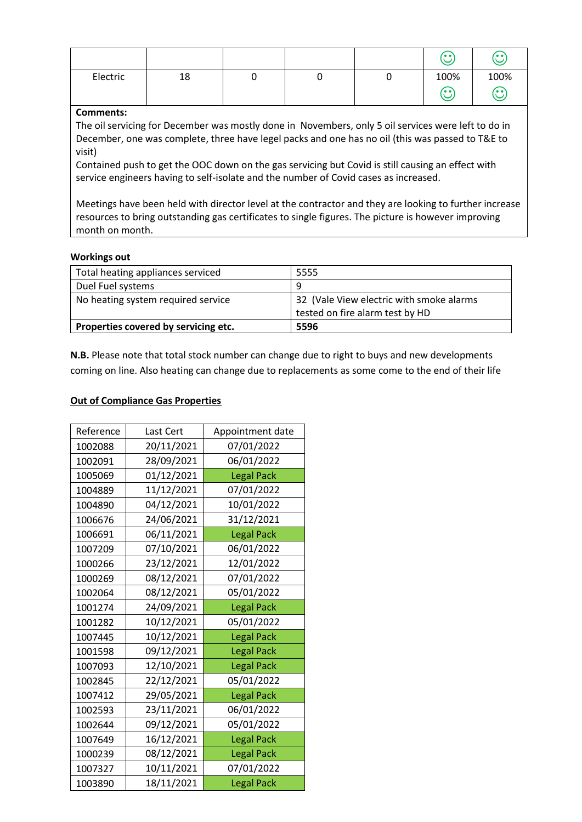|          |    |   |   | 'oo'          | <b>65</b>  |
|----------|----|---|---|---------------|------------|
| Electric | 18 | ັ | ັ | 100%<br>'o o' | 100%<br>65 |

#### **Comments:**

The oil servicing for December was mostly done in Novembers, only 5 oil services were left to do in December, one was complete, three have legel packs and one has no oil (this was passed to T&E to visit)

Contained push to get the OOC down on the gas servicing but Covid is still causing an effect with service engineers having to self-isolate and the number of Covid cases as increased.

Meetings have been held with director level at the contractor and they are looking to further increase resources to bring outstanding gas certificates to single figures. The picture is however improving month on month.

#### **Workings out**

| Total heating appliances serviced    | 5555                                                                        |
|--------------------------------------|-----------------------------------------------------------------------------|
| Duel Fuel systems                    | q                                                                           |
| No heating system required service   | 32 (Vale View electric with smoke alarms<br>tested on fire alarm test by HD |
| Properties covered by servicing etc. | 5596                                                                        |

**N.B.** Please note that total stock number can change due to right to buys and new developments coming on line. Also heating can change due to replacements as some come to the end of their life

## **Out of Compliance Gas Properties**

| Reference | Last Cert  | Appointment date  |
|-----------|------------|-------------------|
| 1002088   | 20/11/2021 | 07/01/2022        |
| 1002091   | 28/09/2021 | 06/01/2022        |
| 1005069   | 01/12/2021 | <b>Legal Pack</b> |
| 1004889   | 11/12/2021 | 07/01/2022        |
| 1004890   | 04/12/2021 | 10/01/2022        |
| 1006676   | 24/06/2021 | 31/12/2021        |
| 1006691   | 06/11/2021 | <b>Legal Pack</b> |
| 1007209   | 07/10/2021 | 06/01/2022        |
| 1000266   | 23/12/2021 | 12/01/2022        |
| 1000269   | 08/12/2021 | 07/01/2022        |
| 1002064   | 08/12/2021 | 05/01/2022        |
| 1001274   | 24/09/2021 | <b>Legal Pack</b> |
| 1001282   | 10/12/2021 | 05/01/2022        |
| 1007445   | 10/12/2021 | <b>Legal Pack</b> |
| 1001598   | 09/12/2021 | <b>Legal Pack</b> |
| 1007093   | 12/10/2021 | <b>Legal Pack</b> |
| 1002845   | 22/12/2021 | 05/01/2022        |
| 1007412   | 29/05/2021 | <b>Legal Pack</b> |
| 1002593   | 23/11/2021 | 06/01/2022        |
| 1002644   | 09/12/2021 | 05/01/2022        |
| 1007649   | 16/12/2021 | <b>Legal Pack</b> |
| 1000239   | 08/12/2021 | <b>Legal Pack</b> |
| 1007327   | 10/11/2021 | 07/01/2022        |
| 1003890   | 18/11/2021 | <b>Legal Pack</b> |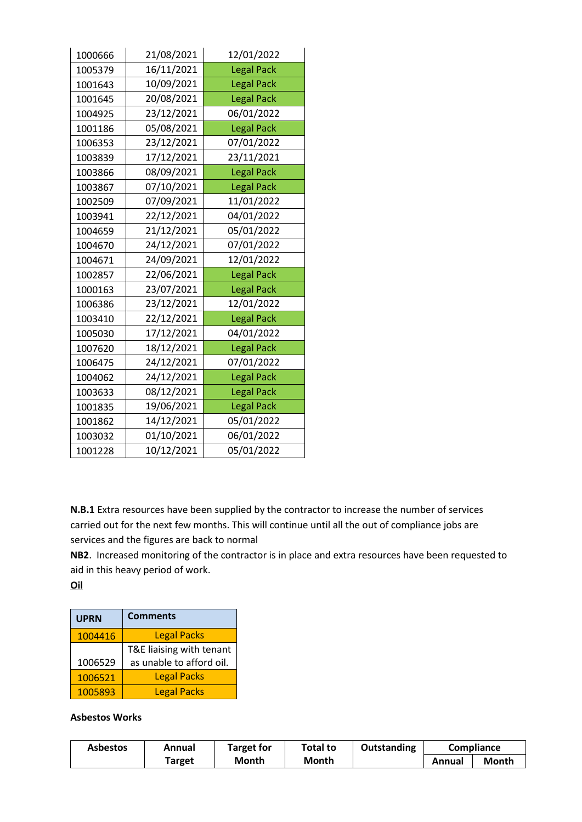| 1000666 | 21/08/2021 | 12/01/2022        |
|---------|------------|-------------------|
| 1005379 | 16/11/2021 | <b>Legal Pack</b> |
| 1001643 | 10/09/2021 | <b>Legal Pack</b> |
| 1001645 | 20/08/2021 | <b>Legal Pack</b> |
| 1004925 | 23/12/2021 | 06/01/2022        |
| 1001186 | 05/08/2021 | <b>Legal Pack</b> |
| 1006353 | 23/12/2021 | 07/01/2022        |
| 1003839 | 17/12/2021 | 23/11/2021        |
| 1003866 | 08/09/2021 | <b>Legal Pack</b> |
| 1003867 | 07/10/2021 | <b>Legal Pack</b> |
| 1002509 | 07/09/2021 | 11/01/2022        |
| 1003941 | 22/12/2021 | 04/01/2022        |
| 1004659 | 21/12/2021 | 05/01/2022        |
| 1004670 | 24/12/2021 | 07/01/2022        |
| 1004671 | 24/09/2021 | 12/01/2022        |
| 1002857 | 22/06/2021 | <b>Legal Pack</b> |
| 1000163 | 23/07/2021 | <b>Legal Pack</b> |
| 1006386 | 23/12/2021 | 12/01/2022        |
| 1003410 | 22/12/2021 | <b>Legal Pack</b> |
| 1005030 | 17/12/2021 | 04/01/2022        |
| 1007620 | 18/12/2021 | <b>Legal Pack</b> |
| 1006475 | 24/12/2021 | 07/01/2022        |
| 1004062 | 24/12/2021 | <b>Legal Pack</b> |
| 1003633 | 08/12/2021 | <b>Legal Pack</b> |
| 1001835 | 19/06/2021 | <b>Legal Pack</b> |
| 1001862 | 14/12/2021 | 05/01/2022        |
| 1003032 | 01/10/2021 | 06/01/2022        |
| 1001228 | 10/12/2021 | 05/01/2022        |

**N.B.1** Extra resources have been supplied by the contractor to increase the number of services carried out for the next few months. This will continue until all the out of compliance jobs are services and the figures are back to normal

**NB2**. Increased monitoring of the contractor is in place and extra resources have been requested to aid in this heavy period of work.

**Oil**

| <b>UPRN</b> | <b>Comments</b>          |
|-------------|--------------------------|
| 1004416     | <b>Legal Packs</b>       |
|             | T&E liaising with tenant |
| 1006529     | as unable to afford oil. |
| 1006521     | <b>Legal Packs</b>       |
| 1005893     | <b>Legal Packs</b>       |

#### **Asbestos Works**

| Asbestos | Annual        | <b>Target for</b> | Total to | Outstanding | <b>Compliance</b> |       |
|----------|---------------|-------------------|----------|-------------|-------------------|-------|
|          | <b>Target</b> | Month             | Month    |             | Annual            | Month |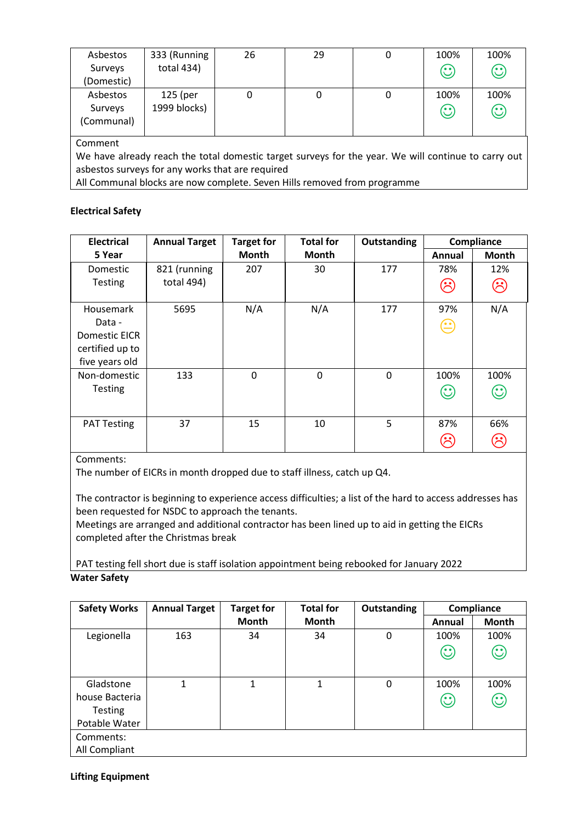| Asbestos<br>Surveys<br>(Domestic)                                                                                                                                  | 333 (Running<br>total 434) | 26 | 29 | 0 | 100%<br>$\odot$      | 100%<br>$\odot$ |
|--------------------------------------------------------------------------------------------------------------------------------------------------------------------|----------------------------|----|----|---|----------------------|-----------------|
| Asbestos<br>Surveys<br>(Communal)                                                                                                                                  | 125 (per<br>1999 blocks)   | 0  | 0  | 0 | 100%<br>$\mathbf{C}$ | 100%<br>$\odot$ |
| Comment<br>We have already reach the total domestic target surveys for the year. We will continue to carry out<br>asbestos surveys for any works that are required |                            |    |    |   |                      |                 |

All Communal blocks are now complete. Seven Hills removed from programme

### **Electrical Safety**

| <b>Electrical</b>                                                         | <b>Annual Target</b> | <b>Target for</b> | <b>Total for</b> | Outstanding |                                                                                 | Compliance           |
|---------------------------------------------------------------------------|----------------------|-------------------|------------------|-------------|---------------------------------------------------------------------------------|----------------------|
| 5 Year                                                                    |                      | Month             | Month            |             | Annual                                                                          | <b>Month</b>         |
| Domestic                                                                  | 821 (running         | 207               | 30               | 177         | 78%                                                                             | 12%                  |
| <b>Testing</b>                                                            | total 494)           |                   |                  |             | $(\hat{\mathord{\sim}})$                                                        | ි                    |
| Housemark<br>Data -<br>Domestic EICR<br>certified up to<br>five years old | 5695                 | N/A               | N/A              | 177         | 97%<br>$\left( \begin{smallmatrix} \bullet & \bullet \end{smallmatrix} \right)$ | N/A                  |
| Non-domestic<br><b>Testing</b>                                            | 133                  | 0                 | $\Omega$         | 0           | 100%<br>$\odot$                                                                 | 100%<br>$\odot$      |
| <b>PAT Testing</b>                                                        | 37                   | 15                | 10               | 5           | 87%                                                                             | 66%<br>$\mathcal{S}$ |

Comments:

The number of EICRs in month dropped due to staff illness, catch up Q4.

The contractor is beginning to experience access difficulties; a list of the hard to access addresses has been requested for NSDC to approach the tenants.

Meetings are arranged and additional contractor has been lined up to aid in getting the EICRs completed after the Christmas break

PAT testing fell short due is staff isolation appointment being rebooked for January 2022 **Water Safety**

| <b>Safety Works</b> | <b>Annual Target</b> | <b>Target for</b> | <b>Total for</b> | Outstanding |         | Compliance   |
|---------------------|----------------------|-------------------|------------------|-------------|---------|--------------|
|                     |                      | <b>Month</b>      | Month            |             | Annual  | <b>Month</b> |
| Legionella          | 163                  | 34                | 34               | $\mathbf 0$ | 100%    | 100%         |
|                     |                      |                   |                  |             | $\odot$ | $\odot$      |
|                     |                      |                   |                  |             |         |              |
| Gladstone           | 1                    | $\mathbf{1}$      | $\mathbf{1}$     | 0           | 100%    | 100%         |
| house Bacteria      |                      |                   |                  |             | $\odot$ | $\odot$      |
| <b>Testing</b>      |                      |                   |                  |             |         |              |
| Potable Water       |                      |                   |                  |             |         |              |
| Comments:           |                      |                   |                  |             |         |              |
| All Compliant       |                      |                   |                  |             |         |              |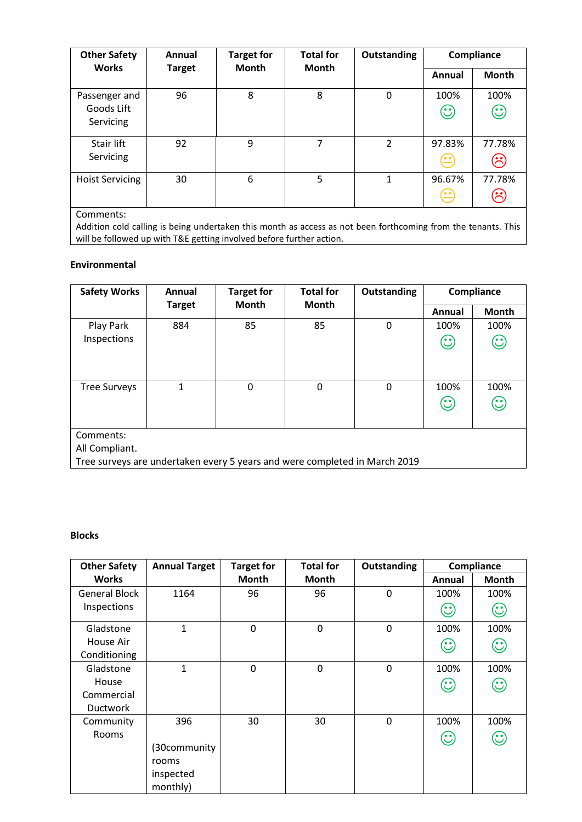| <b>Other Safety</b>    | <b>Total for</b><br><b>Target for</b><br>Outstanding<br>Annual | Compliance   |              |                |                                         |                     |
|------------------------|----------------------------------------------------------------|--------------|--------------|----------------|-----------------------------------------|---------------------|
| <b>Works</b>           | <b>Target</b>                                                  | <b>Month</b> | <b>Month</b> |                | Annual                                  | <b>Month</b>        |
| Passenger and          | 96                                                             | 8            | 8            | $\mathbf 0$    | 100%                                    | 100%                |
| Goods Lift             |                                                                |              |              |                | $\odot$                                 | $\odot$             |
| Servicing              |                                                                |              |              |                |                                         |                     |
| Stair lift             | 92                                                             | 9            | 7            | $\overline{2}$ | 97.83%                                  | 77.78%              |
| Servicing              |                                                                |              |              |                | $\hat{\Xi}$                             |                     |
| <b>Hoist Servicing</b> | 30                                                             | 6            | 5            | 1              | 96.67%                                  | 77.78%              |
|                        |                                                                |              |              |                | $\left(\stackrel{\centerdot}{=}\right)$ | $\hat{\mathcal{C}}$ |

Comments:

Addition cold calling is being undertaken this month as access as not been forthcoming from the tenants. This will be followed up with T&E getting involved before further action.

#### **Environmental**

| <b>Safety Works</b>                                                                                       | Annual                                        | <b>Target for</b> | <b>Total for</b> | Outstanding |                                                  | Compliance      |
|-----------------------------------------------------------------------------------------------------------|-----------------------------------------------|-------------------|------------------|-------------|--------------------------------------------------|-----------------|
|                                                                                                           | <b>Month</b><br><b>Month</b><br><b>Target</b> |                   |                  | Annual      | <b>Month</b>                                     |                 |
| Play Park                                                                                                 | 884                                           | 85                | 85               | 0           | 100%                                             | 100%            |
| Inspections                                                                                               |                                               |                   |                  |             | $\odot$                                          | $\odot$         |
| <b>Tree Surveys</b>                                                                                       | 1                                             | 0                 | $\Omega$         | 0           | 100%<br>$\mathbf{\large \text{(}}\cdot \text{)}$ | 100%<br>$\odot$ |
| Comments:<br>All Compliant.<br>Tree surveys are undertaken every 5 years and were completed in March 2019 |                                               |                   |                  |             |                                                  |                 |

## **Blocks**

| <b>Other Safety</b>  | <b>Annual Target</b> | <b>Target for</b> | <b>Total for</b> | Outstanding |                    | Compliance   |
|----------------------|----------------------|-------------------|------------------|-------------|--------------------|--------------|
| <b>Works</b>         |                      | <b>Month</b>      | <b>Month</b>     |             | Annual             | <b>Month</b> |
| <b>General Block</b> | 1164                 | 96                | 96               | $\mathbf 0$ | 100%               | 100%         |
| Inspections          |                      |                   |                  |             | $\mathbf{\hat{C}}$ | $\odot$      |
| Gladstone            | $\mathbf{1}$         | 0                 | $\mathbf 0$      | $\mathbf 0$ | 100%               | 100%         |
| House Air            |                      |                   |                  |             | $\odot$            | $\odot$      |
| Conditioning         |                      |                   |                  |             |                    |              |
| Gladstone            | $\mathbf{1}$         | $\mathbf 0$       | $\mathbf 0$      | $\mathbf 0$ | 100%               | 100%         |
| House                |                      |                   |                  |             | $\odot$            | $\odot$      |
| Commercial           |                      |                   |                  |             |                    |              |
| <b>Ductwork</b>      |                      |                   |                  |             |                    |              |
| Community            | 396                  | 30                | 30               | 0           | 100%               | 100%         |
| <b>Rooms</b>         |                      |                   |                  |             | $\odot$            | $\odot$      |
|                      | (30community         |                   |                  |             |                    |              |
|                      | rooms                |                   |                  |             |                    |              |
|                      | inspected            |                   |                  |             |                    |              |
|                      | monthly)             |                   |                  |             |                    |              |